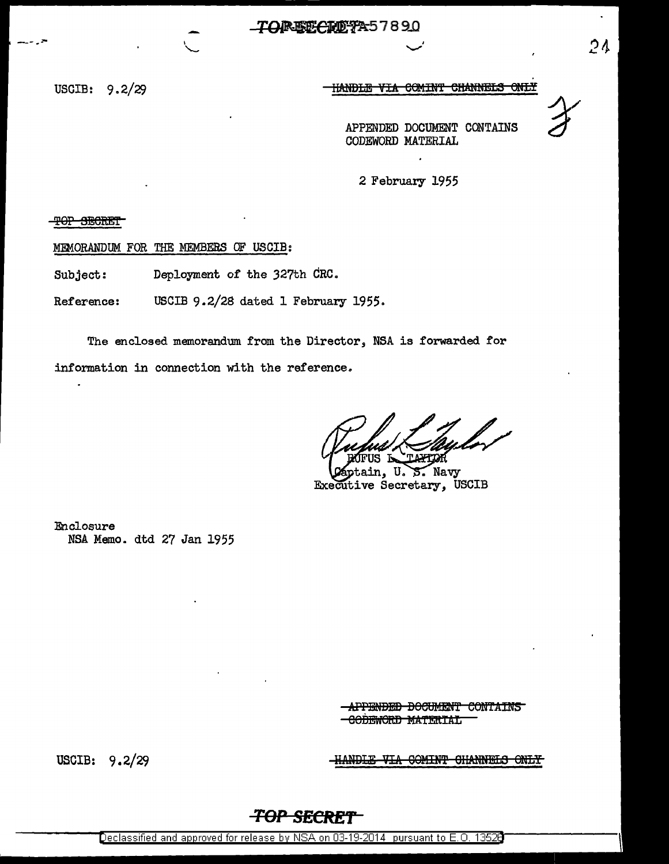USCIB:  $9.2/29$ 

## HANDLE VIA COMINT CHANNELS ONLY

 $24$ 

APPENDED DOCUMENT CONTAINS CODEWORD MATERIAL

2 February 1955

THOR OF THE T

MEMORANDUM FOR THE MEMBERS OF USCIB:

Deployment of the 327th CRC. Subject:

USCIB 9.2/28 dated 1 February 1955. Reference:

The enclosed memorandum from the Director, NSA is forwarded for information in connection with the reference.

'ጥ ለጋርዋናጋኛ

tain,  $U \nightharpoonup S$ . Navy Executive Secretary, USCIB

Enclosure NSA Memo. dtd 27 Jan 1955

> **-APPENDED DOCUMENT CONTAINS** <del>-CODEWORD MATERIAL</del>

USCIB: 9.2/29

HANDLE VIA COMINT CHANNELS ONLY

## **TOP SECRET**

Declassified and approved for release by NSA on 03-19-2014 pursuant to E.O. 13528